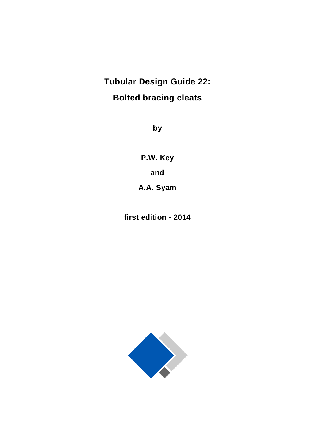# **Tubular Design Guide 22: Bolted bracing cleats**

**by**

**P.W. Key and A.A. Syam**

**first edition - 2014**

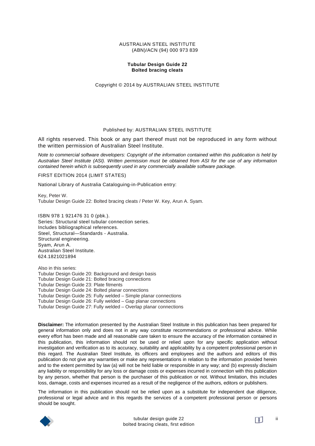#### AUSTRALIAN STEEL INSTITUTE (ABN)/ACN (94) 000 973 839

### **Tubular Design Guide 22 Bolted bracing cleats**

Copyright © 2014 by AUSTRALIAN STEEL INSTITUTE

### Published by: AUSTRALIAN STEEL INSTITUTE

All rights reserved. This book or any part thereof must not be reproduced in any form without the written permission of Australian Steel Institute.

*Note to commercial software developers: Copyright of the information contained within this publication is held by Australian Steel Institute (ASI). Written permission must be obtained from ASI for the use of any information contained herein which is subsequently used in any commercially available software package.*

FIRST EDITION 2014 (LIMIT STATES)

National Library of Australia Cataloguing-in-Publication entry:

Key, Peter W. Tubular Design Guide 22: Bolted bracing cleats / Peter W. Key, Arun A. Syam.

ISBN 978 1 921476 31 0 (pbk.). Series: Structural steel tubular connection series. Includes bibliographical references. Steel, Structural—Standards - Australia. Structural engineering. Syam, Arun A. Australian Steel Institute. 624.1821021894

Also in this series: Tubular Design Guide 20: Background and design basis Tubular Design Guide 21: Bolted bracing connections Tubular Design Guide 23: Plate fitments Tubular Design Guide 24: Bolted planar connections Tubular Design Guide 25: Fully welded – Simple planar connections Tubular Design Guide 26: Fully welded – Gap planar connections Tubular Design Guide 27: Fully welded – Overlap planar connections

**Disclaimer:** The information presented by the Australian Steel Institute in this publication has been prepared for general information only and does not in any way constitute recommendations or professional advice. While every effort has been made and all reasonable care taken to ensure the accuracy of the information contained in this publication, this information should not be used or relied upon for any specific application without investigation and verification as to its accuracy, suitability and applicability by a competent professional person in this regard. The Australian Steel Institute, its officers and employees and the authors and editors of this publication do not give any warranties or make any representations in relation to the information provided herein and to the extent permitted by law (a) will not be held liable or responsible in any way; and (b) expressly disclaim any liability or responsibility for any loss or damage costs or expenses incurred in connection with this publication by any person, whether that person is the purchaser of this publication or not. Without limitation, this includes loss, damage, costs and expenses incurred as a result of the negligence of the authors, editors or publishers.

The information in this publication should not be relied upon as a substitute for independent due diligence, professional or legal advice and in this regards the services of a competent professional person or persons should be sought.

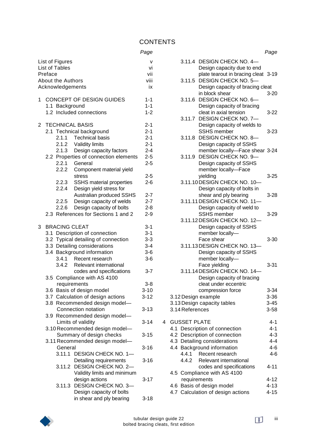|                | Preface           | List of Figures<br><b>List of Tables</b><br><b>About the Authors</b><br>Acknowledgements |                                                                                                                                                                                 | v<br>vi<br>vii<br>viii<br>ix                                   |
|----------------|-------------------|------------------------------------------------------------------------------------------|---------------------------------------------------------------------------------------------------------------------------------------------------------------------------------|----------------------------------------------------------------|
| 1              |                   | 1.1 Background                                                                           | <b>CONCEPT OF DESIGN GUIDES</b><br>1.2 Included connections                                                                                                                     | $1 - 1$<br>$1 - 1$<br>$1 - 2$                                  |
| $\overline{2}$ |                   | 2.1.1                                                                                    | <b>TECHNICAL BASIS</b><br>2.1 Technical background<br><b>Technical basis</b><br>2.1.2 Validity limits<br>2.1.3 Design capacity factors<br>2.2 Properties of connection elements | $2 - 1$<br>$2 - 1$<br>$2 - 1$<br>$2 - 1$<br>$2 - 4$<br>$2 - 5$ |
|                |                   | 2.2.2<br>2.2.3<br>2.2.4                                                                  | 2.2.1 General<br>Component material yield<br>stress<br>SSHS material properties<br>Design yield stress for                                                                      | $2 - 5$<br>$2 - 5$<br>$2 - 6$                                  |
|                |                   | 2.2.5<br>2.2.6                                                                           | Australian produced SSHS<br>Design capacity of welds<br>Design capacity of bolts<br>2.3 References for Sections 1 and 2                                                         | $2 - 7$<br>$2 - 7$<br>2-8<br>$2 - 9$                           |
| 3              | 3.1<br>3.3<br>3.4 | <b>BRACING CLEAT</b><br>3.4.1<br>3.4.2                                                   | Description of connection<br>3.2 Typical detailing of connection<br>Detailing considerations<br>Background information<br>Recent research<br>Relevant international             | $3 - 1$<br>$3 - 1$<br>$3 - 3$<br>$3 - 4$<br>$3-6$<br>$3-6$     |
|                | 3.6               | requirements                                                                             | codes and specifications<br>3.5 Compliance with AS 4100<br>Basis of design model<br>3.7 Calculation of design actions                                                           | $3 - 7$<br>$3 - 8$<br>$3 - 10$<br>$3 - 12$                     |
|                |                   |                                                                                          | 3.8 Recommended design model-<br>Connection notation<br>3.9 Recommended design model-<br>Limits of validity                                                                     | $3 - 13$<br>$3 - 14$                                           |
|                |                   |                                                                                          | 3.10 Recommended design model-<br>Summary of design checks                                                                                                                      | $3 - 15$                                                       |
|                |                   | General                                                                                  | 3.11 Recommended design model-                                                                                                                                                  | $3 - 16$                                                       |
|                |                   |                                                                                          | 3.11.1 DESIGN CHECK NO. 1-<br>Detailing requirements<br>3.11.2 DESIGN CHECK NO. 2-                                                                                              | $3 - 16$                                                       |
|                |                   |                                                                                          | Validity limits and minimum<br>design actions<br>3.11.3 DESIGN CHECK NO. 3-<br>Design capacity of bolts                                                                         | $3 - 17$                                                       |
|                |                   |                                                                                          | in shear and ply bearing                                                                                                                                                        | $3 - 18$                                                       |

|   |                     |                                                              | Page                 |
|---|---------------------|--------------------------------------------------------------|----------------------|
|   |                     | 3.11.4 DESIGN CHECK NO. 4-                                   |                      |
|   |                     | Design capacity due to end                                   |                      |
|   |                     | plate tearout in bracing cleat 3-19                          |                      |
|   |                     | 3.11.5 DESIGN CHECK NO. 5-                                   |                      |
|   |                     | Design capacity of bracing cleat<br>in block shear           | $3 - 20$             |
|   | 3.11.6              | DESIGN CHECK NO. 6-                                          |                      |
|   |                     | Design capacity of bracing                                   |                      |
|   |                     | cleat in axial tension                                       | 3-22                 |
|   |                     | 3.11.7 DESIGN CHECK NO. 7-                                   |                      |
|   |                     | Design capacity of welds to                                  |                      |
|   |                     | <b>SSHS</b> member                                           | 3-23                 |
|   | 3.11.8              | <b>DESIGN CHECK NO. 8-</b>                                   |                      |
|   |                     | Design capacity of SSHS                                      |                      |
|   |                     | member locally-Face shear 3-24<br>3.11.9 DESIGN CHECK NO. 9- |                      |
|   |                     | Design capacity of SSHS                                      |                      |
|   |                     | member locally-Face                                          |                      |
|   |                     | yielding                                                     | $3 - 25$             |
|   |                     | 3.11.10 DESIGN CHECK NO. 10-                                 |                      |
|   |                     | Design capacity of bolts in                                  |                      |
|   |                     | shear and ply bearing                                        | $3 - 28$             |
|   |                     | 3.11.11 DESIGN CHECK NO. 11-                                 |                      |
|   |                     | Design capacity of weld to                                   |                      |
|   |                     | <b>SSHS</b> member                                           | $3 - 29$             |
|   |                     | 3.11.12 DESIGN CHECK NO. 12-<br>Design capacity of SSHS      |                      |
|   |                     | member locally-                                              |                      |
|   |                     | Face shear                                                   | $3 - 30$             |
|   |                     | 3.11.13 DESIGN CHECK NO. 13-                                 |                      |
|   |                     | Design capacity of SSHS                                      |                      |
|   |                     | member locally-                                              |                      |
|   |                     | Face yielding                                                | $3 - 31$             |
|   |                     | 3.11.14 DESIGN CHECK NO. 14-                                 |                      |
|   |                     | Design capacity of bracing                                   |                      |
|   |                     | cleat under eccentric                                        |                      |
|   | 3.12 Design example | compression force                                            | $3 - 34$<br>$3 - 36$ |
|   |                     | 3.13 Design capacity tables                                  | $3 - 45$             |
|   | 3.14 References     |                                                              | $3 - 58$             |
|   |                     |                                                              |                      |
| 4 | <b>GUSSET PLATE</b> |                                                              | 4-1                  |
|   |                     | 4.1 Description of connection                                | $4 - 1$              |
|   |                     | 4.2 Description of connection                                | $4 - 3$              |
|   |                     | 4.3 Detailing considerations                                 | $4 - 4$              |
|   | 4.4.1               | 4.4 Background information                                   | $4 - 6$<br>$4-6$     |
|   | 4.4.2               | Recent research<br>Relevant international                    |                      |
|   |                     | codes and specifications                                     | $4 - 11$             |
|   |                     | 4.5 Compliance with AS 4100                                  |                      |
|   | requirements        |                                                              | 4-12                 |
|   |                     | 4.6 Basis of design model                                    | $4 - 13$             |
|   |                     | 4.7 Calculation of design actions                            | $4 - 15$             |
|   |                     |                                                              |                      |

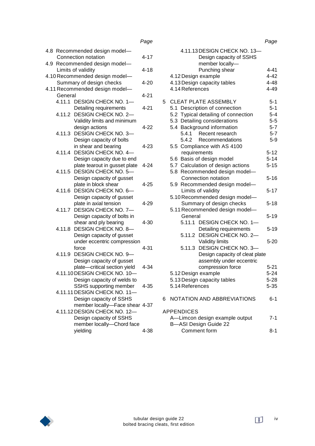|         |                                                        | Page     |
|---------|--------------------------------------------------------|----------|
|         | 4.8 Recommended design model-                          |          |
|         | Connection notation                                    | $4 - 17$ |
|         | 4.9 Recommended design model-                          |          |
|         | Limits of validity                                     | $4 - 18$ |
|         | 4.10 Recommended design model-                         |          |
|         | Summary of design checks                               | $4 - 20$ |
|         | 4.11 Recommended design model-                         |          |
| General |                                                        | 4-21     |
|         | 4.11.1 DESIGN CHECK NO. 1-                             | 4-21     |
| 4.11.2  | Detailing requirements<br><b>DESIGN CHECK NO. 2-</b>   |          |
|         | Validity limits and minimum                            |          |
|         | design actions                                         | $4 - 22$ |
| 4.11.3  | <b>DESIGN CHECK NO. 3-</b>                             |          |
|         | Design capacity of bolts                               |          |
|         | in shear and bearing                                   | $4 - 23$ |
| 4.11.4  | <b>DESIGN CHECK NO. 4-</b>                             |          |
|         | Design capacity due to end                             |          |
|         | plate tearout in gusset plate                          | $4 - 24$ |
| 4.11.5  | <b>DESIGN CHECK NO. 5-</b>                             |          |
|         | Design capacity of gusset                              |          |
|         | plate in block shear                                   | 4-25     |
| 4.11.6  | DESIGN CHECK NO. 6-                                    |          |
|         | Design capacity of gusset                              |          |
| 4.11.7  | plate in axial tension<br>DESIGN CHECK NO. 7-          | $4 - 29$ |
|         | Design capacity of bolts in                            |          |
|         | shear and ply bearing                                  | 4-30     |
| 4.11.8  | <b>DESIGN CHECK NO. 8-</b>                             |          |
|         | Design capacity of gusset                              |          |
|         | under eccentric compression                            |          |
|         | force                                                  | 4-31     |
| 4.11.9  | <b>DESIGN CHECK NO. 9-</b>                             |          |
|         | Design capacity of gusset                              |          |
|         | plate-critical section yield                           | $4 - 34$ |
|         | 4.11.10 DESIGN CHECK NO. 10-                           |          |
|         | Design capacity of welds to                            |          |
|         | SSHS supporting member<br>4.11.11 DESIGN CHECK NO. 11- | $4 - 35$ |
|         | Design capacity of SSHS                                |          |
|         | member locally-Face shear 4-37                         |          |
|         | 4.11.12 DESIGN CHECK NO. 12-                           |          |
|         | Design capacity of SSHS                                |          |
|         | member locally-Chord face                              |          |
|         | yielding                                               | 4-38     |
|         |                                                        |          |
|         |                                                        |          |

|   |                                                                            | Page     |
|---|----------------------------------------------------------------------------|----------|
|   | 4.11.13 DESIGN CHECK NO. 13-<br>Design capacity of SSHS<br>member locally- |          |
|   | Punching shear                                                             | $4 - 41$ |
|   | 4.12 Design example                                                        | $4 - 42$ |
|   | 4.13 Design capacity tables                                                | $4 - 48$ |
|   | 4.14 References                                                            | $4 - 49$ |
| 5 | <b>CLEAT PLATE ASSEMBLY</b>                                                | $5 - 1$  |
|   | 5.1 Description of connection                                              | $5 - 1$  |
|   | 5.2 Typical detailing of connection                                        | $5 - 4$  |
|   | 5.3 Detailing considerations                                               | $5-5$    |
|   | 5.4 Background information                                                 | $5 - 7$  |
|   | Recent research<br>5.4.1                                                   | $5 - 7$  |
|   | 5.4.2 Recommendations<br>5.5 Compliance with AS 4100                       | $5-9$    |
|   | requirements                                                               | $5 - 12$ |
|   | 5.6 Basis of design model                                                  | $5 - 14$ |
|   | 5.7 Calculation of design actions                                          | $5 - 15$ |
|   | 5.8 Recommended design model-                                              |          |
|   | Connection notation                                                        | $5 - 16$ |
|   | 5.9 Recommended design model-<br>Limits of validity                        | $5 - 17$ |
|   | 5.10 Recommended design model-                                             |          |
|   | Summary of design checks<br>5.11 Recommended design model-                 | $5 - 18$ |
|   | General                                                                    | $5 - 19$ |
|   | 5.11.1 DESIGN CHECK NO. 1-                                                 |          |
|   | Detailing requirements                                                     | $5 - 19$ |
|   | 5.11.2 DESIGN CHECK NO. 2-                                                 |          |
|   | <b>Validity limits</b>                                                     | $5 - 20$ |
|   | 5.11.3 DESIGN CHECK NO. 3-                                                 |          |
|   | Design capacity of cleat plate                                             |          |
|   | assembly under eccentric                                                   |          |
|   | compression force                                                          | $5 - 21$ |
|   | 5.12 Design example                                                        | 5-24     |
|   | 5.13 Design capacity tables                                                | $5 - 28$ |
|   | 5.14 References                                                            | $5 - 35$ |
| 6 | NOTATION AND ABBREVIATIONS                                                 | 6-1      |
|   | <b>APPENDICES</b>                                                          |          |
|   | A-Limcon design example output                                             | 7-1      |
|   | <b>B-ASI Design Guide 22</b>                                               |          |
|   | Comment form                                                               | 8-1      |

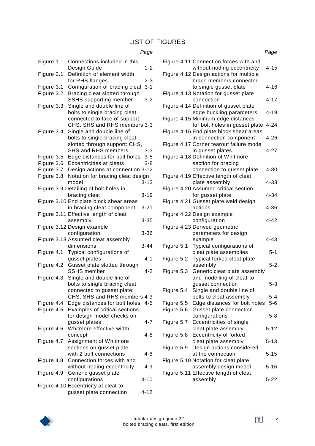# LIST OF FIGURES

# *Page*

| Figure 1.1 | Connections included in this<br>Design Guide           | $1 - 2$  |
|------------|--------------------------------------------------------|----------|
| Figure 2.1 | Definition of element width                            |          |
|            | for RHS flanges                                        | $2 - 3$  |
| Figure 3.1 | Configuration of bracing cleat                         | $3 - 1$  |
| Figure 3.2 | Bracing cleat slotted through                          |          |
|            | <b>SSHS</b> supporting member                          | 3-2      |
| Figure 3.3 | Single and double line of                              |          |
|            | bolts to single bracing cleat                          |          |
|            | connected to face of support:                          |          |
|            | CHS, SHS and RHS members 3-3                           |          |
| Figure 3.4 | Single and double line of                              |          |
|            | bolts to single bracing cleat                          |          |
|            | slotted through support: CHS,                          |          |
|            | <b>SHS and RHS members</b>                             | 3-3      |
| Figure 3.5 | Edge distances for bolt holes                          | $3 - 5$  |
| Figure 3.6 | Eccentricities at cleats                               | $3 - 8$  |
| Figure 3.7 | Design actions at connection 3-12                      |          |
| Figure 3.8 | Notation for bracing cleat design                      |          |
|            | model                                                  | $3 - 13$ |
|            | Figure 3.9 Detailing of bolt holes in                  |          |
|            | bracing cleat                                          | $3 - 19$ |
|            | Figure 3.10 End plate block shear areas                |          |
|            | in bracing cleat component                             | $3 - 21$ |
|            |                                                        |          |
|            | Figure 3.11 Effective length of cleat                  |          |
|            | assembly                                               | $3 - 35$ |
|            |                                                        |          |
|            | Figure 3.12 Design example                             |          |
|            | configuration                                          | $3 - 36$ |
|            | Figure 3.13 Assumed cleat assembly                     |          |
|            | dimensions                                             | $3 - 44$ |
| Figure 4.1 | Typical configurations of                              |          |
|            | gusset plates                                          | $4 - 1$  |
| Figure 4.2 | Gusset plate slotted through                           |          |
|            | <b>SSHS</b> member                                     | $4 - 2$  |
| Figure 4.3 | Single and double line of                              |          |
|            | bolts to single bracing cleat                          |          |
|            | connected to gusset plate:                             |          |
|            | CHS, SHS and RHS members 4-3                           |          |
| Figure 4.4 | Edge distances for bolt holes                          | 4-5      |
| Figure 4.5 | Examples of critical sections                          |          |
|            | for design model checks on                             |          |
|            | gusset plates                                          | $4 - 7$  |
| Figure 4.6 | Whitmore effective width                               |          |
|            | concept                                                | 4-8      |
| Figure 4.7 | Assignment of Whitmore                                 |          |
|            | sections on gusset plate                               |          |
|            | with 2 bolt connections                                | 4-8      |
| Figure 4.8 | Connection forces with and                             |          |
|            | without noding eccentricity                            | 4-9      |
| Figure 4.9 |                                                        |          |
|            | Generic gusset plate                                   | $4 - 10$ |
|            | configurations<br>Figure 4.10 Eccentricity at cleat to |          |

|                          |                                                                                                                  | Page     |
|--------------------------|------------------------------------------------------------------------------------------------------------------|----------|
|                          | Figure 4.11 Connection forces with and<br>without noding eccentricity<br>Figure 4.12 Design actions for multiple | $4 - 15$ |
|                          | brace members connected<br>to single gusset plate<br>Figure 4.13 Notation for gusset plate                       | $4 - 16$ |
|                          | connection                                                                                                       | $4 - 17$ |
|                          | Figure 4.14 Definition of gusset plate<br>edge buckling parameters                                               | $4 - 19$ |
|                          | Figure 4.15 Minimum edge distances<br>for bolt holes in gusset plate                                             | $4 - 24$ |
|                          | Figure 4.16 End plate block shear areas<br>in connection component                                               | 4-26     |
|                          | Figure 4.17 Corner tearout failure mode<br>in gusset plates                                                      | $4 - 27$ |
|                          | Figure 4.18 Definition of Whitmore<br>section for bracing                                                        |          |
|                          | connection to gusset plate<br>Figure 4.19 Effective length of cleat                                              | 4-30     |
|                          | plate assembly<br>Figure 4.20 Assumed critical section                                                           | 4-33     |
|                          | for gusset plate<br>Figure 4.21 Gusset plate weld design                                                         | $4 - 34$ |
|                          | actions<br>Figure 4.22 Design example                                                                            | 4-36     |
|                          | configuration                                                                                                    | $4 - 42$ |
|                          | Figure 4.23 Derived geometric<br>parameters for design                                                           | $4 - 43$ |
| Figure 5.1               | example<br>Typical configurations of                                                                             |          |
| Figure 5.2               | cleat plate assemblies<br>Typical forked cleat plate                                                             | $5 - 1$  |
|                          | assembly                                                                                                         | $5 - 2$  |
| Figure 5.3               | Generic cleat plate assembly<br>and modelling of cleat-to-                                                       |          |
| Figure 5.4               | qusset connection<br>Single and double line of                                                                   | $5 - 3$  |
|                          | bolts to cleat assembly                                                                                          | 5-4      |
| Figure 5.5<br>Figure 5.6 | Edge distances for bolt holes<br>Gusset plate connection                                                         | $5-6$    |
|                          | configurations                                                                                                   | 5-8      |
| Figure 5.7               | Eccentricities of single<br>cleat plate assembly                                                                 | 5-12     |
| Figure 5.8               | <b>Eccentricity of forked</b><br>cleat plate assembly                                                            | 5-13     |
| Figure 5.9               | Design actions considered                                                                                        |          |
|                          | at the connection<br>Figure 5.10 Notation for cleat plate                                                        | $5 - 15$ |
|                          | assembly design model                                                                                            | 5-16     |
|                          | Figure 5.11 Effective length of cleat<br>assembly                                                                | 5-22     |

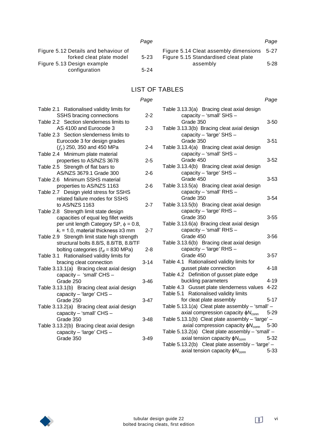|                                      | Page     |                                            | Page |
|--------------------------------------|----------|--------------------------------------------|------|
| Figure 5.12 Details and behaviour of |          | Figure 5.14 Cleat assembly dimensions 5-27 |      |
| forked cleat plate model             | $5 - 23$ | Figure 5.15 Standardised cleat plate       |      |
| Figure 5.13 Design example           |          | assembly                                   | 5-28 |
| configuration                        | $5-24$   |                                            |      |

# LIST OF TABLES

### *Page*

| Table 2.1 Rationalised validity limits for                          |          |
|---------------------------------------------------------------------|----------|
| SSHS bracing connections<br>Table 2.2 Section slenderness limits to | 2-2      |
| AS 4100 and Eurocode 3                                              | 2-3      |
| Table 2.3 Section slenderness limits to                             |          |
| Eurocode 3 for design grades                                        |          |
| $(f_y)$ 250, 350 and 450 MPa                                        | $2 - 4$  |
| Table 2.4 Minimum plate material                                    |          |
| properties to AS/NZS 3678                                           | 2-5      |
| Table 2.5 Strength of flat bars to                                  |          |
| AS/NZS 3679.1 Grade 300                                             | 2-6      |
| Table 2.6 Minimum SSHS material                                     |          |
| properties to AS/NZS 1163                                           | 2-6      |
| Table 2.7 Design yield stress for SSHS                              |          |
| related failure modes for SSHS                                      |          |
| to AS/NZS 1163                                                      | $2 - 7$  |
| Table 2.8 Strength limit state design                               |          |
| capacities of equal leg fillet welds                                |          |
| per unit length Category SP, $\phi = 0.8$ ,                         |          |
| $k_r$ = 1.0, material thickness $\geq 3$ mm                         | $2 - 7$  |
| Table 2.9 Strength limit state high strength                        |          |
| structural bolts 8.8/S, 8.8/TB, 8.8/TF                              |          |
| bolting categories $(f_{\text{uf}} = 830 \text{ MPa})$              | 2-8      |
| Table 3.1 Rationalised validity limits for                          |          |
| bracing cleat connection                                            | 3-14     |
| Table 3.13.1(a) Bracing cleat axial design                          |          |
| capacity - 'small' CHS -                                            |          |
| Grade 250                                                           | $3 - 46$ |
| Table 3.13.1(b) Bracing cleat axial design                          |          |
| capacity - 'large' CHS -                                            |          |
| Grade 250                                                           | $3 - 47$ |
| Table 3.13.2(a) Bracing cleat axial design                          |          |
| capacity - 'small' CHS -                                            |          |
| Grade 350                                                           | $3 - 48$ |
| Table 3.13.2(b) Bracing cleat axial design                          |          |
| capacity - 'large' CHS -                                            |          |
| Grade 350                                                           | 3-49     |

|                                                                                                        | Page     |
|--------------------------------------------------------------------------------------------------------|----------|
| Table 3.13.3(a) Bracing cleat axial design<br>capacity - 'small' SHS -                                 |          |
| Grade 350<br>Table 3.13.3(b) Bracing cleat axial design                                                | $3 - 50$ |
| capacity - 'large' SHS -<br>Grade 350                                                                  | $3 - 51$ |
| Table 3.13.4(a) Bracing cleat axial design<br>capacity - 'small' SHS -                                 |          |
| Grade 450<br>Table 3.13.4(b) Bracing cleat axial design                                                | $3 - 52$ |
| capacity - 'large' SHS -<br>Grade 450                                                                  | 3-53     |
| Table 3.13.5(a) Bracing cleat axial design<br>capacity - 'small' RHS -                                 |          |
| Grade 350<br>Table 3.13.5(b) Bracing cleat axial design                                                | 3-54     |
| capacity - 'large' RHS -<br>Grade 350                                                                  | 3-55     |
| Table 3.13.6(a) Bracing cleat axial design<br>capacity - 'small' RHS -                                 |          |
| Grade 450<br>Table 3.13.6(b) Bracing cleat axial design                                                | $3 - 56$ |
| capacity - 'large' RHS -<br>Grade 450                                                                  | $3 - 57$ |
| Table 4.1 Rationalised validity limits for<br>gusset plate connection                                  | 4-18     |
| Table 4.2 Definition of gusset plate edge<br>buckling parameters                                       | 4-19     |
| Table 4.3 Gusset plate slenderness values<br>Rationalised validity limits<br>Table 5.1                 | $4 - 22$ |
| for cleat plate assembly                                                                               | $5 - 17$ |
| Table 5.13.1(a) Cleat plate assembly - 'small' -                                                       | $5 - 29$ |
| axial compression capacity $\phi N_{\rm conn}$<br>Table 5.13.1(b) Cleat plate assembly - 'large' -     |          |
|                                                                                                        | $5 - 30$ |
| axial compression capacity $\phi N_{\rm conn}$<br>Table 5.13.2(a) Cleat plate assembly $-$ 'small' $-$ |          |
| axial tension capacity $\phi N_{\text{conn}}$                                                          | $5 - 32$ |
| Table 5.13.2(b) Cleat plate assembly - 'large' -                                                       |          |
| axial tension capacity $\phi N_{\text{conn}}$                                                          | $5 - 33$ |